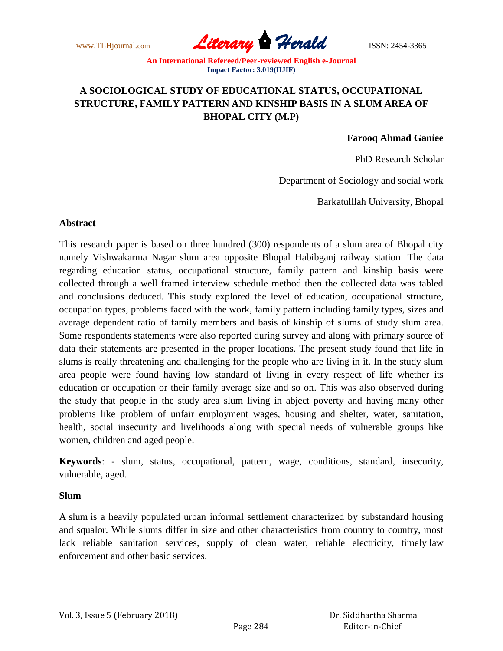www.TLHjournal.com **Literary Herald** ISSN: 2454-3365

# **A SOCIOLOGICAL STUDY OF EDUCATIONAL STATUS, OCCUPATIONAL STRUCTURE, FAMILY PATTERN AND KINSHIP BASIS IN A SLUM AREA OF BHOPAL CITY (M.P)**

### **Farooq Ahmad Ganiee**

PhD Research Scholar

Department of Sociology and social work

Barkatulllah University, Bhopal

#### **Abstract**

This research paper is based on three hundred (300) respondents of a slum area of Bhopal city namely Vishwakarma Nagar slum area opposite Bhopal Habibganj railway station. The data regarding education status, occupational structure, family pattern and kinship basis were collected through a well framed interview schedule method then the collected data was tabled and conclusions deduced. This study explored the level of education, occupational structure, occupation types, problems faced with the work, family pattern including family types, sizes and average dependent ratio of family members and basis of kinship of slums of study slum area. Some respondents statements were also reported during survey and along with primary source of data their statements are presented in the proper locations. The present study found that life in slums is really threatening and challenging for the people who are living in it. In the study slum area people were found having low standard of living in every respect of life whether its education or occupation or their family average size and so on. This was also observed during the study that people in the study area slum living in abject poverty and having many other problems like problem of unfair employment wages, housing and shelter, water, sanitation, health, social insecurity and livelihoods along with special needs of vulnerable groups like women, children and aged people.

**Keywords**: - slum, status, occupational, pattern, wage, conditions, standard, insecurity, vulnerable, aged.

### **Slum**

A slum is a heavily populated urban informal settlement characterized by substandard housing and squalor. While slums differ in size and other characteristics from country to country, most lack reliable sanitation services, supply of clean water, reliable electricity, timely law enforcement and other basic services.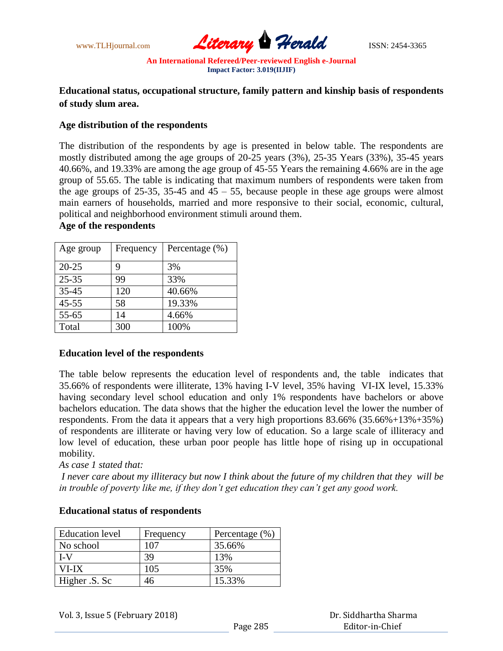

# **Educational status, occupational structure, family pattern and kinship basis of respondents of study slum area.**

### **Age distribution of the respondents**

The distribution of the respondents by age is presented in below table. The respondents are mostly distributed among the age groups of 20-25 years (3%), 25-35 Years (33%), 35-45 years 40.66%, and 19.33% are among the age group of 45-55 Years the remaining 4.66% are in the age group of 55.65. The table is indicating that maximum numbers of respondents were taken from the age groups of 25-35, 35-45 and  $45 - 55$ , because people in these age groups were almost main earners of households, married and more responsive to their social, economic, cultural, political and neighborhood environment stimuli around them.

# **Age of the respondents**

| Age group | Frequency | Percentage $(\% )$ |
|-----------|-----------|--------------------|
| $20 - 25$ | 9         | 3%                 |
| $25 - 35$ | 99        | 33%                |
| 35-45     | 120       | 40.66%             |
| $45 - 55$ | 58        | 19.33%             |
| 55-65     | 14        | 4.66%              |
| Total     | 300       | 100%               |

# **Education level of the respondents**

The table below represents the education level of respondents and, the table indicates that 35.66% of respondents were illiterate, 13% having I-V level, 35% having VI-IX level, 15.33% having secondary level school education and only 1% respondents have bachelors or above bachelors education. The data shows that the higher the education level the lower the number of respondents. From the data it appears that a very high proportions 83.66% (35.66%+13%+35%) of respondents are illiterate or having very low of education. So a large scale of illiteracy and low level of education, these urban poor people has little hope of rising up in occupational mobility.

*As case 1 stated that:*

*I never care about my illiteracy but now I think about the future of my children that they will be in trouble of poverty like me, if they don't get education they can't get any good work.* 

| <b>Education</b> level | Frequency | Percentage $(\% )$ |
|------------------------|-----------|--------------------|
| No school              | 107       | 35.66%             |
| LV                     | 39        | 13%                |
| VI-IX                  | 105       | 35%                |
| Higher .S. Sc          |           | 15.33%             |

# **Educational status of respondents**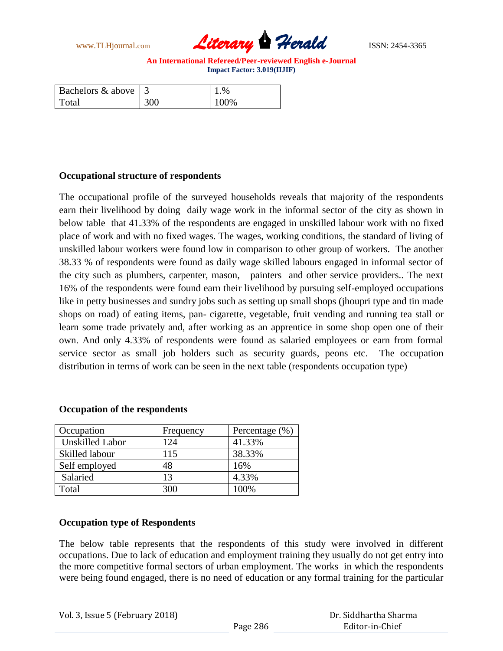www.TLHjournal.com **Literary Herald** ISSN: 2454-3365

| Bachelors $\&$ above |     | .96  |
|----------------------|-----|------|
| Total                | 300 | 100% |

### **Occupational structure of respondents**

The occupational profile of the surveyed households reveals that majority of the respondents earn their livelihood by doing daily wage work in the informal sector of the city as shown in below table that 41.33% of the respondents are engaged in unskilled labour work with no fixed place of work and with no fixed wages. The wages, working conditions, the standard of living of unskilled labour workers were found low in comparison to other group of workers. The another 38.33 % of respondents were found as daily wage skilled labours engaged in informal sector of the city such as plumbers, carpenter, mason, painters and other service providers.. The next 16% of the respondents were found earn their livelihood by pursuing self-employed occupations like in petty businesses and sundry jobs such as setting up small shops (jhoupri type and tin made shops on road) of eating items, pan- cigarette, vegetable, fruit vending and running tea stall or learn some trade privately and, after working as an apprentice in some shop open one of their own. And only 4.33% of respondents were found as salaried employees or earn from formal service sector as small job holders such as security guards, peons etc. The occupation distribution in terms of work can be seen in the next table (respondents occupation type)

### **Occupation of the respondents**

| Occupation             | Frequency | Percentage $(\% )$ |
|------------------------|-----------|--------------------|
| <b>Unskilled Labor</b> | 124       | 41.33%             |
| Skilled labour         | 115       | 38.33%             |
| Self employed          | 48        | 16%                |
| Salaried               | 13        | 4.33%              |
| Total                  | 300       | 100%               |

### **Occupation type of Respondents**

The below table represents that the respondents of this study were involved in different occupations. Due to lack of education and employment training they usually do not get entry into the more competitive formal sectors of urban employment. The works in which the respondents were being found engaged, there is no need of education or any formal training for the particular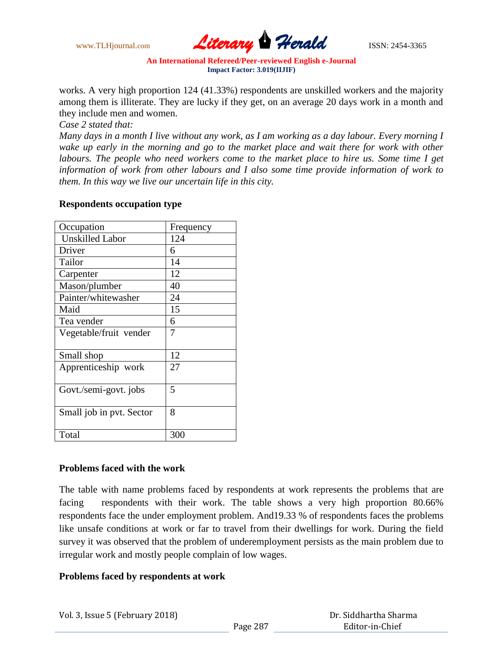www.TLHjournal.com *Literary Herald*ISSN: 2454-3365

works. A very high proportion 124 (41.33%) respondents are unskilled workers and the majority among them is illiterate. They are lucky if they get, on an average 20 days work in a month and they include men and women.

*Case 2 stated that:* 

*Many days in a month I live without any work, as I am working as a day labour. Every morning I*  wake up early in the morning and go to the market place and wait there for work with other *labours. The people who need workers come to the market place to hire us. Some time I get information of work from other labours and I also some time provide information of work to them. In this way we live our uncertain life in this city.* 

# **Respondents occupation type**

| Occupation               | Frequency |
|--------------------------|-----------|
| <b>Unskilled Labor</b>   | 124       |
| Driver                   | 6         |
| Tailor                   | 14        |
| Carpenter                | 12        |
| Mason/plumber            | 40        |
| Painter/whitewasher      | 24        |
| Maid                     | 15        |
| Tea vender               | 6         |
| Vegetable/fruit vender   |           |
|                          |           |
| Small shop               | 12        |
| Apprenticeship work      | 27        |
|                          |           |
| Govt./semi-govt. jobs    | 5         |
|                          |           |
| Small job in pvt. Sector | 8         |
|                          |           |
| Total                    | 300       |

# **Problems faced with the work**

The table with name problems faced by respondents at work represents the problems that are facing respondents with their work. The table shows a very high proportion 80.66% respondents face the under employment problem. And19.33 % of respondents faces the problems like unsafe conditions at work or far to travel from their dwellings for work. During the field survey it was observed that the problem of underemployment persists as the main problem due to irregular work and mostly people complain of low wages.

# **Problems faced by respondents at work**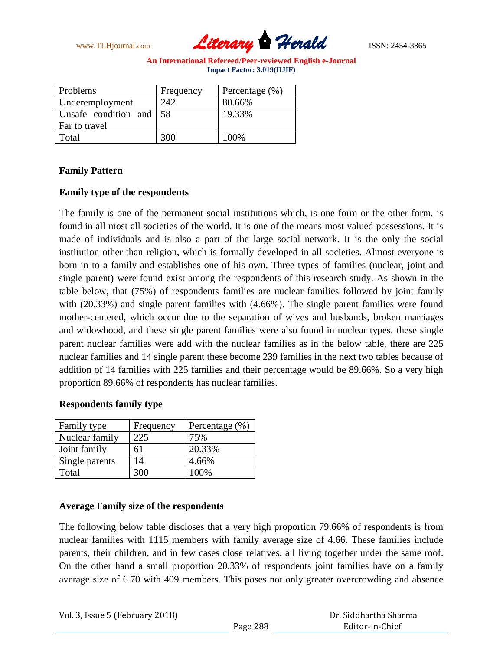www.TLHjournal.com **Literary Herald** ISSN: 2454-3365

| Problems             | Frequency | Percentage $(\%)$ |
|----------------------|-----------|-------------------|
| Underemployment      | 242       | 80.66%            |
| Unsafe condition and | 58        | 19.33%            |
| Far to travel        |           |                   |
| Total                | 300       | 100%              |

# **Family Pattern**

# **Family type of the respondents**

The family is one of the permanent social institutions which, is one form or the other form, is found in all most all societies of the world. It is one of the means most valued possessions. It is made of individuals and is also a part of the large social network. It is the only the social institution other than religion, which is formally developed in all societies. Almost everyone is born in to a family and establishes one of his own. Three types of families (nuclear, joint and single parent) were found exist among the respondents of this research study. As shown in the table below, that (75%) of respondents families are nuclear families followed by joint family with (20.33%) and single parent families with (4.66%). The single parent families were found mother-centered, which occur due to the separation of wives and husbands, broken marriages and widowhood, and these single parent families were also found in nuclear types. these single parent nuclear families were add with the nuclear families as in the below table, there are 225 nuclear families and 14 single parent these become 239 families in the next two tables because of addition of 14 families with 225 families and their percentage would be 89.66%. So a very high proportion 89.66% of respondents has nuclear families.

### **Respondents family type**

| Family type    | Frequency | Percentage $(\% )$ |
|----------------|-----------|--------------------|
| Nuclear family | 225       | 75%                |
| Joint family   | 61        | 20.33%             |
| Single parents | 14        | 4.66%              |
| Total          | 300       | 100%               |

### **Average Family size of the respondents**

The following below table discloses that a very high proportion 79.66% of respondents is from nuclear families with 1115 members with family average size of 4.66. These families include parents, their children, and in few cases close relatives, all living together under the same roof. On the other hand a small proportion 20.33% of respondents joint families have on a family average size of 6.70 with 409 members. This poses not only greater overcrowding and absence

|  | Vol. 3, Issue 5 (February 2018) |
|--|---------------------------------|
|--|---------------------------------|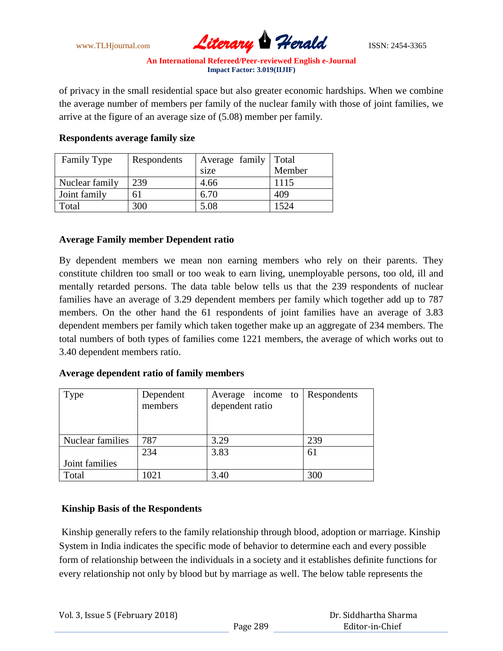www.TLHjournal.com **Literary Herald** ISSN: 2454-3365

of privacy in the small residential space but also greater economic hardships. When we combine the average number of members per family of the nuclear family with those of joint families, we arrive at the figure of an average size of (5.08) member per family.

| <b>Family Type</b> | Respondents | Average family   Total |        |
|--------------------|-------------|------------------------|--------|
|                    |             | size                   | Member |
| Nuclear family     | 239         | 4.66                   | 1115   |
| Joint family       | 61          | 6.70                   | 409    |
| Total              | 300         | 5.08                   | 524    |

# **Respondents average family size**

# **Average Family member Dependent ratio**

By dependent members we mean non earning members who rely on their parents. They constitute children too small or too weak to earn living, unemployable persons, too old, ill and mentally retarded persons. The data table below tells us that the 239 respondents of nuclear families have an average of 3.29 dependent members per family which together add up to 787 members. On the other hand the 61 respondents of joint families have an average of 3.83 dependent members per family which taken together make up an aggregate of 234 members. The total numbers of both types of families come 1221 members, the average of which works out to 3.40 dependent members ratio.

# **Average dependent ratio of family members**

| Type             | Dependent | Average income to | Respondents |
|------------------|-----------|-------------------|-------------|
|                  | members   | dependent ratio   |             |
|                  |           |                   |             |
| Nuclear families | 787       | 3.29              | 239         |
|                  | 234       | 3.83              | 61          |
| Joint families   |           |                   |             |
| Total            | 1021      | 3.40              | 300         |

# **Kinship Basis of the Respondents**

Kinship generally refers to the family relationship through blood, adoption or marriage. Kinship System in India indicates the specific mode of behavior to determine each and every possible form of relationship between the individuals in a society and it establishes definite functions for every relationship not only by blood but by marriage as well. The below table represents the